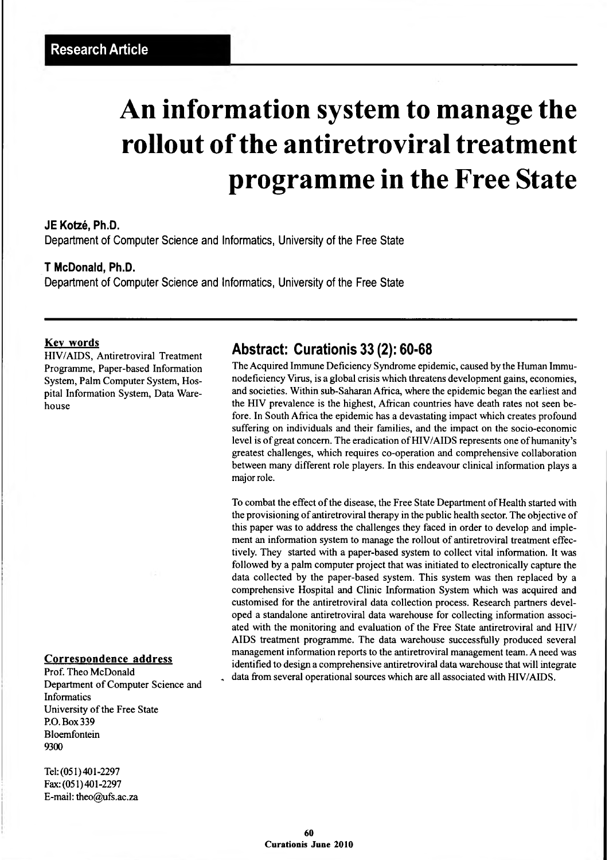# **An information system to manage the rollout of the antiretroviral treatment programme in the Free State**

#### **JE Kotzé, Ph.D.**

**Department of Computer Science and Informatics, University of the Free State**

#### **T McDonald, Ph.D.**

**Department of Computer Science and Informatics, University of the Free State**

#### **Key words**

HIV/AIDS, Antiretroviral Treatment Programme, Paper-based Information System, Palm Computer System, Hospital Information System, Data Warehouse

#### **Correspondence address**

Informatics University of the Free State RO. Box 339 Bloemfontein 9300 Prof. Theo McDonald Department of Computer Science and

Tel: (051)401-2297 Fax:(051)401-2297 E-mail: [theo@ufs.ac.za](mailto:theo@ufs.ac.za)

### **Abstract: Curationis 33 (2): 60-68**

The Acquired Immune Deficiency Syndrome epidemic, caused by the Human Immunodeficiency Virus, is a global crisis which threatens development gains, economies, and societies. Within sub-Saharan Africa, where the epidemic began the earliest and the HIV prevalence is the highest, African countries have death rates not seen before. In South Africa the epidemic has a devastating impact which creates profound suffering on individuals and their families, and the impact on the socio-economic level is of great concern. The eradication of HIV/AIDS represents one of humanity's greatest challenges, which requires co-operation and comprehensive collaboration between many different role players. In this endeavour clinical information plays a major role.

To combat the effect of the disease, the Free State Department of Health started with the provisioning of antiretroviral therapy in the public health sector. The objective of this paper was to address the challenges they faced in order to develop and implement an information system to manage the rollout of antiretroviral treatment effectively. They started with a paper-based system to collect vital information. It was followed by a palm computer project that was initiated to electronically capture the data collected by the paper-based system. This system was then replaced by a comprehensive Hospital and Clinic Information System which was acquired and customised for the antiretroviral data collection process. Research partners developed a standalone antiretroviral data warehouse for collecting information associated with the monitoring and evaluation of the Free State antiretroviral and HIV/ AIDS treatment programme. The data warehouse successfully produced several management information reports to the antiretroviral management team. A need was identified to design a comprehensive antiretroviral data warehouse that will integrate data from several operational sources which are all associated with HIV/AIDS.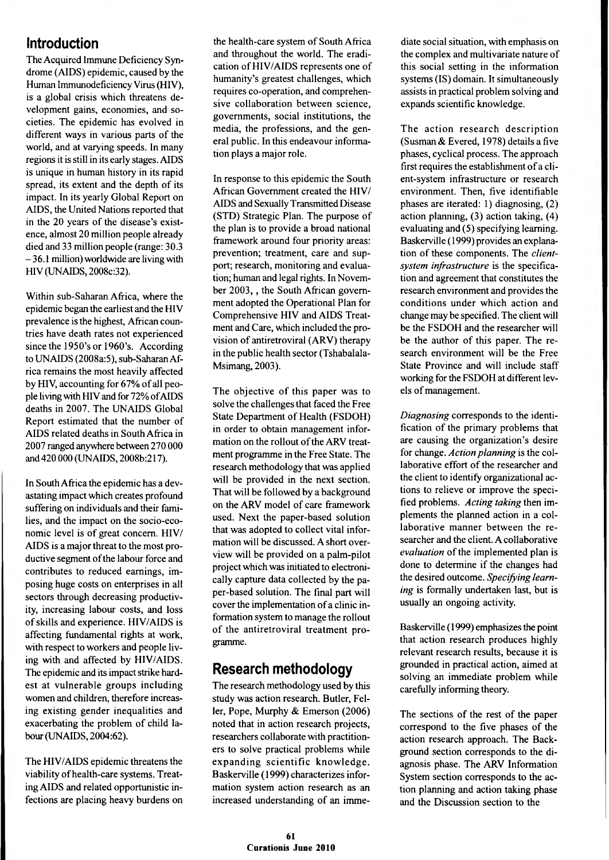### **Introduction**

The Acquired Immune Deficiency Syndrome (AIDS) epidemic, caused by the Human Immunodeficiency Virus (HIV), is a global crisis which threatens development gains, economies, and societies. The epidemic has evolved in different ways in various parts of the world, and at varying speeds. In many regions it is still in its early stages. AIDS is unique in human history in its rapid spread, its extent and the depth of its impact. In its yearly Global Report on AIDS, the United Nations reported that in the 20 years of the disease's existence, almost 20 million people already died and 33 million people (range: 30.3 -36.1 million) worldwide are living with HIV (UNAIDS, 2008c:32).

Within sub-Saharan Africa, where the epidemic began the earliest and the HIV prevalence is the highest, African countries have death rates not experienced since the 1950's or 1960's. According to UN AIDS (2008a:5), sub-Saharan Africa remains the most heavily affected by HIV, accounting for 67% of all people living with HIV and for 72% of AIDS deaths in 2007. The UNAIDS Global Report estimated that the number of AIDS related deaths in South Africa in 2007 ranged anywhere between 270 000 and 420 000 (UNAIDS, 2008b:217).

In South Africa the epidemic has a devastating impact which creates profound suffering on individuals and their families, and the impact on the socio-economic level is of great concern. HIV/ AIDS is a major threat to the most productive segment of the labour force and contributes to reduced earnings, imposing huge costs on enterprises in all sectors through decreasing productivity, increasing labour costs, and loss of skills and experience. HIV/AIDS is affecting fundamental rights at work, with respect to workers and people living with and affected by HIV/AIDS. The epidemic and its impact strike hardest at vulnerable groups including women and children, therefore increasing existing gender inequalities and exacerbating the problem of child labour (UNAIDS, 2004:62).

The HIV/AIDS epidemic threatens the viability of health-care systems. Treating AIDS and related opportunistic infections are placing heavy burdens on the health-care system of South Africa and throughout the world. The eradication of HIV/AIDS represents one of humanity's greatest challenges, which requires co-operation, and comprehensive collaboration between science, governments, social institutions, the media, the professions, and the general public. In this endeavour information plays a major role.

In response to this epidemic the South African Government created the HIV/ AIDS and Sexually Transmitted Disease (STD) Strategic Plan. The purpose of the plan is to provide a broad national framework around four priority areas: prevention; treatment, care and support; research, monitoring and evaluation; human and legal rights. In November 2003, , the South African government adopted the Operational Plan for Comprehensive HIV and AIDS Treatment and Care, which included the provision of antiretroviral (ARV) therapy in the public health sector (Tshabalala-Msimang, 2003).

The objective of this paper was to solve the challenges that faced the Free State Department of Health (FSDOH) in order to obtain management information on the rollout of the ARV treatment programme in the Free State. The research methodology that was applied will be provided in the next section. That will be followed by a background on the ARV model of care framework used. Next the paper-based solution that was adopted to collect vital information will be discussed. A short overview will be provided on a palm-pilot project which was initiated to electronically capture data collected by the paper-based solution. The final part will cover the implementation of a clinic information system to manage the rollout of the antiretroviral treatment programme.

## **Research methodology**

The research methodology used by this study was action research. Butler, Feller, Pope, Murphy & Emerson (2006) noted that in action research projects, researchers collaborate with practitioners to solve practical problems while expanding scientific knowledge. Baskerville (1999) characterizes information system action research as an increased understanding of an imme-

diate social situation, with emphasis on the complex and multivariate nature of this social setting in the information systems (IS) domain. It simultaneously assists in practical problem solving and expands scientific knowledge.

The action research description (Susman & Evered, 1978) details a five phases, cyclical process. The approach first requires the establishment of a client-system infrastructure or research environment. Then, five identifiable phases are iterated: 1) diagnosing, (2) action planning, (3) action taking, (4) evaluating and (5) specifying learning. Baskerville (1999) provides an explanation of these components. The *clientsystem infrastructure* is the specification and agreement that constitutes the research environment and provides the conditions under which action and change may be specified. The client will be the FSDOH and the researcher will be the author of this paper. The research environment will be the Free State Province and will include staff working for the FSDOH at different levels of management.

*Diagnosing* corresponds to the identification of the primary problems that are causing the organization's desire for change. *Action planning* is the collaborative effort of the researcher and the client to identify organizational actions to relieve or improve the specified problems. *Acting taking* then implements the planned action in a collaborative manner between the researcher and the client. A collaborative *evaluation* of the implemented plan is done to determine if the changes had the desired outcome. *Specifying learning* is formally undertaken last, but is usually an ongoing activity.

Baskerville (1999) emphasizes the point that action research produces highly relevant research results, because it is grounded in practical action, aimed at solving an immediate problem while carefully informing theory.

The sections of the rest of the paper correspond to the five phases of the action research approach. The Background section corresponds to the diagnosis phase. The ARV Information System section corresponds to the action planning and action taking phase and the Discussion section to the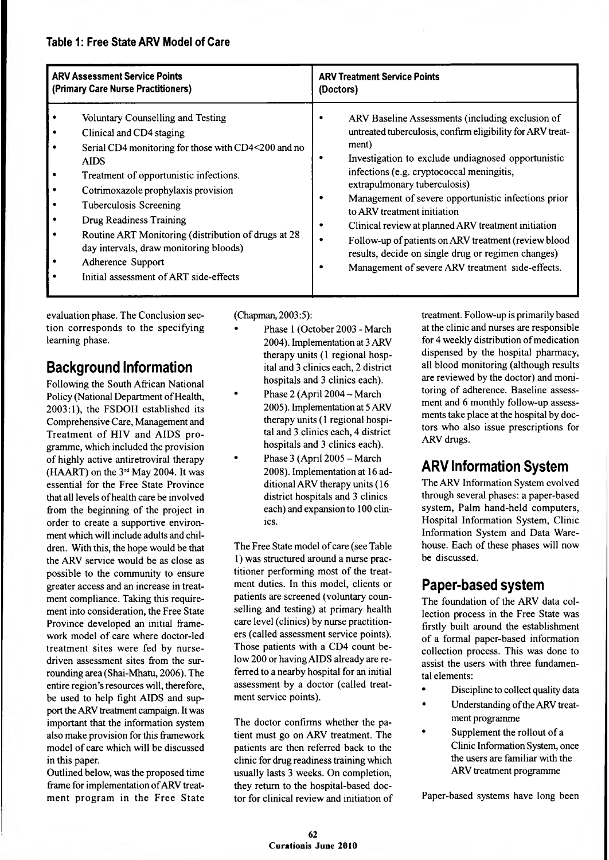#### **Table 1: Free State ARV Model of Care**

| <b>ARV Assessment Service Points</b> |                                                                                                                                                                                                                                                                                                                                                                                                                                           | <b>ARV Treatment Service Points</b>                                                                                                                                                                                                                                                                                                                                                                                                                                                                                                                                       |
|--------------------------------------|-------------------------------------------------------------------------------------------------------------------------------------------------------------------------------------------------------------------------------------------------------------------------------------------------------------------------------------------------------------------------------------------------------------------------------------------|---------------------------------------------------------------------------------------------------------------------------------------------------------------------------------------------------------------------------------------------------------------------------------------------------------------------------------------------------------------------------------------------------------------------------------------------------------------------------------------------------------------------------------------------------------------------------|
| (Primary Care Nurse Practitioners)   |                                                                                                                                                                                                                                                                                                                                                                                                                                           | (Doctors)                                                                                                                                                                                                                                                                                                                                                                                                                                                                                                                                                                 |
|                                      | Voluntary Counselling and Testing<br>Clinical and CD4 staging<br>Serial CD4 monitoring for those with CD4<200 and no<br><b>AIDS</b><br>Treatment of opportunistic infections.<br>Cotrimoxazole prophylaxis provision<br>Tuberculosis Screening<br>Drug Readiness Training<br>Routine ART Monitoring (distribution of drugs at 28<br>day intervals, draw monitoring bloods)<br>Adherence Support<br>Initial assessment of ART side-effects | ARV Baseline Assessments (including exclusion of<br>untreated tuberculosis, confirm eligibility for ARV treat-<br>ment)<br>Investigation to exclude undiagnosed opportunistic<br>infections (e.g. cryptococcal meningitis,<br>extrapulmonary tuberculosis)<br>Management of severe opportunistic infections prior<br>to ARV treatment initiation<br>Clinical review at planned ARV treatment initiation<br>Follow-up of patients on ARV treatment (review blood<br>results, decide on single drug or regimen changes)<br>Management of severe ARV treatment side-effects. |

evaluation phase. The Conclusion section corresponds to the specifying learning phase.

# **Background Information**

Following the South African National Policy (National Department of Health, 2003:1), the FSDOH established its Comprehensive Care, Management and Treatment of HIV and AIDS programme, which included the provision of highly active antiretroviral therapy (HAART) on the  $3<sup>rd</sup>$  May 2004. It was essential for the Free State Province that all levels of health care be involved from the beginning of the project in order to create a supportive environment which will include adults and children. With this, the hope would be that the ARV service would be as close as possible to the community to ensure greater access and an increase in treatment compliance. Taking this requirement into consideration, the Free State Province developed an initial framework model of care where doctor-led treatment sites were fed by nursedriven assessment sites from the surrounding area (Shai-Mhatu, 2006). The entire region's resources will, therefore, be used to help fight AIDS and support the ARV treatment campaign. It was important that the information system also make provision for this framework model of care which will be discussed in this paper.

Outlined below, was the proposed time frame for implementation of ARV treatment program in the Free State

(Chapman, 2003:5):

- Phase 1 (October 2003 March 2004). Implementation at 3 ARV therapy units (1 regional hospital and 3 clinics each, 2 district hospitals and 3 clinics each).
- Phase 2 (April 2004 March 2005). Implementation at 5 ARV therapy units (1 regional hospital and 3 clinics each, 4 district hospitals and 3 clinics each).
- Phase 3 (April 2005 March 2008). Implementation at 16 additional ARV therapy units (16 district hospitals and 3 clinics each) and expansion to 100 clinics.

The Free State model of care (see Table 1) was structured around a nurse practitioner performing most of the treatment duties. In this model, clients or patients are screened (voluntary counselling and testing) at primary health care level (clinics) by nurse practitioners (called assessment service points). Those patients with a CD4 count below 200 or having AIDS already are referred to a nearby hospital for an initial assessment by a doctor (called treatment service points).

The doctor confirms whether the patient must go on ARV treatment. The patients are then referred back to the clinic for drug readiness training which usually lasts 3 weeks. On completion, they return to the hospital-based doctor for clinical review and initiation of treatment. Follow-up is primarily based at the clinic and nurses are responsible for 4 weekly distribution of medication dispensed by the hospital pharmacy, all blood monitoring (although results are reviewed by the doctor) and monitoring of adherence. Baseline assessment and 6 monthly follow-up assessments take place at the hospital by doctors who also issue prescriptions for ARV drugs.

# **ARV Information System**

The ARV Information System evolved through several phases: a paper-based system, Palm hand-held computers, Hospital Information System, Clinic Information System and Data Warehouse. Each of these phases will now be discussed.

## **Paper-based system**

The foundation of the ARV data collection process in the Free State was firstly built around the establishment of a formal paper-based information collection process. This was done to assist the users with three fundamental elements:

- Discipline to collect quality data
- Understanding of the ARV treatment programme
- Supplement the rollout of a Clinic Information System, once the users are familiar with the ARV treatment programme

Paper-based systems have long been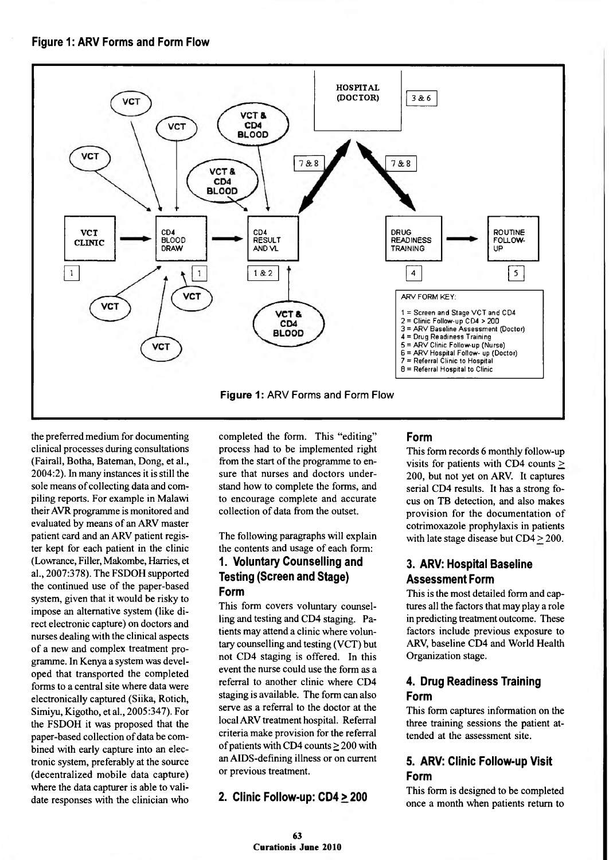#### **Figure 1: ARV Forms and Form Flow**



the preferred medium for documenting clinical processes during consultations (Fairall, Botha, Bateman, Dong, et al., 2004:2). In many instances it is still the sole means of collecting data and compiling reports. For example in Malawi their AVR programme is monitored and evaluated by means of an ARV master patient card and an ARV patient register kept for each patient in the clinic (Lowrance, Filler, Makombe, Harries, et al., 2007:378). The FSDOH supported the continued use of the paper-based system, given that it would be risky to impose an alternative system (like direct electronic capture) on doctors and nurses dealing with the clinical aspects of a new and complex treatment programme. In Kenya a system was developed that transported the completed forms to a central site where data were electronically captured (Siika, Rotich, Simiyu, Kigotho, et al., 2005:347). For the FSDOH it was proposed that the paper-based collection of data be combined with early capture into an electronic system, preferably at the source (decentralized mobile data capture) where the data capturer is able to validate responses with the clinician who

completed the form. This "editing" process had to be implemented right from the start of the programme to ensure that nurses and doctors understand how to complete the forms, and to encourage complete and accurate collection of data from the outset.

The following paragraphs will explain the contents and usage of each form:

#### **1. Voluntary Counselling and Testing (Screen and Stage) Form**

This form covers voluntary counselling and testing and CD4 staging. Patients may attend a clinic where voluntary counselling and testing (VCT) but not CD4 staging is offered. In this event the nurse could use the form as a referral to another clinic where CD4 staging is available. The form can also serve as a referral to the doctor at the local ARV treatment hospital. Referral criteria make provision for the referral of patients with CD4 counts  $\geq$  200 with an AIDS-defming illness or on current or previous treatment.

#### **2. Clinic Follow-up: CD4> 200**

#### **Form**

This form records 6 monthly follow-up visits for patients with CD4 counts  $\geq$ 200, but not yet on ARV. It captures serial CD4 results. It has a strong focus on TB detection, and also makes provision for the documentation of cotrimoxazole prophylaxis in patients with late stage disease but CD4 > 200.

#### **3. ARV: Hospital Baseline Assessment Form**

This is the most detailed form and captures all the factors that may play a role in predicting treatment outcome. These factors include previous exposure to ARV, baseline CD4 and World Health Organization stage.

#### **4. Drug Readiness Training Form**

This form captures information on the three training sessions the patient attended at the assessment site.

#### **5. ARV: Clinic Follow-up Visit Form**

This form is designed to be completed once a month when patients return to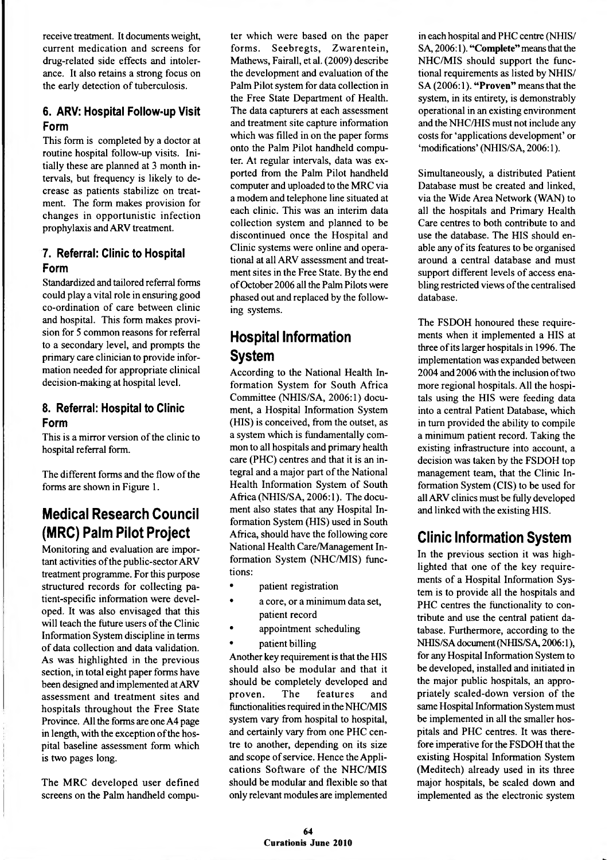receive treatment. It documents weight, current medication and screens for drug-related side effects and intolerance. It also retains a strong focus on the early detection of tuberculosis.

#### **6. ARV: Hospital Follow-up Visit Form**

This form is completed by a doctor at routine hospital follow-up visits. Initially these are planned at 3 month intervals, but frequency is likely to decrease as patients stabilize on treatment. The form makes provision for changes in opportunistic infection prophylaxis and ARV treatment.

#### **7. Referral: Clinic to Hospital Form**

Standardized and tailored referral forms could play a vital role in ensuring good co-ordination of care between clinic and hospital. This form makes provision for 5 common reasons for referral to a secondary level, and prompts the primary care clinician to provide information needed for appropriate clinical decision-making at hospital level.

#### **8. Referral: Hospital to Clinic Form**

This is a mirror version of the clinic to hospital referral form.

The different forms and the flow of the forms are shown in Figure 1.

# **Medical Research Council (MRC) Palm Pilot Project**

Monitoring and evaluation are important activities of the public-sector ARV treatment programme. For this purpose structured records for collecting patient-specific information were developed. It was also envisaged that this will teach the future users of the Clinic Information System discipline in terms of data collection and data validation. As was highlighted in the previous section, in total eight paper forms have been designed and implemented at ARV assessment and treatment sites and hospitals throughout the Free State Province. All the forms are one A4 page in length, with the exception of the hospital baseline assessment form which is two pages long.

The MRC developed user defined screens on the Palm handheld computer which were based on the paper forms. Seebregts, Zwarentein, Mathews, Fairall, et al. (2009) describe the development and evaluation of the Palm Pilot system for data collection in the Free State Department of Health. The data capturers at each assessment and treatment site capture information which was filled in on the paper forms onto the Palm Pilot handheld computer. At regular intervals, data was exported from the Palm Pilot handheld computer and uploaded to the MRC via a modem and telephone line situated at each clinic. This was an interim data collection system and planned to be discontinued once the Hospital and Clinic systems were online and operational at all ARV assessment and treatment sites in the Free State. By the end of October 2006 all the Palm Pilots were phased out and replaced by the following systems.

# **Hospital Information System**

According to the National Health Information System for South Africa Committee (NHIS/SA, 2006:1) document, a Hospital Information System (HIS) is conceived, from the outset, as a system which is fundamentally common to all hospitals and primary health care (PHC) centres and that it is an integral and a major part of the National Health Information System of South Africa (NHIS/SA, 2006:1). The document also states that any Hospital Information System (HIS) used in South Africa, should have the following core National Health Care/Management Information System (NHC/MIS) functions:

- patient registration
- a core, or a minimum data set, patient record
- appointment scheduling
- patient billing

Another key requirement is that the HIS should also be modular and that it should be completely developed and proven. The features and functionalities required in the NHC/MIS system vary from hospital to hospital, and certainly vary from one PHC centre to another, depending on its size and scope of service. Hence the Applications Software of the NHC/MIS should be modular and flexible so that only relevant modules are implemented

in each hospital and PHC centre (NHIS/ SA, 2006:1). **"Complete"** means that the NHC/MIS should support the functional requirements as listed by NHIS/ SA (2006:1). **"Proven"** means that the system, in its entirety, is demonstrably operational in an existing environment and the NHC/HIS must not include any costs for 'applications development' or 'modifications' (NHIS/SA, 2006:1).

Simultaneously, a distributed Patient Database must be created and linked, via the Wide Area Network (WAN) to all the hospitals and Primary Health Care centres to both contribute to and use the database. The HIS should enable any of its features to be organised around a central database and must support different levels of access enabling restricted views of the centralised database.

The FSDOH honoured these requirements when it implemented a HIS at three of its larger hospitals in 1996. The implementation was expanded between 2004 and 2006 with the inclusion of two more regional hospitals. All the hospitals using the HIS were feeding data into a central Patient Database, which in turn provided the ability to compile a minimum patient record. Taking the existing infrastructure into account, a decision was taken by the FSDOH top management team, that the Clinic Information System (CIS) to be used for all ARV clinics must be fully developed and linked with the existing HIS.

# **Clinic Information System**

In the previous section it was highlighted that one of the key requirements of a Hospital Information System is to provide all the hospitals and PHC centres the functionality to contribute and use the central patient database. Furthermore, according to the NHIS/SA document (NHIS/SA, 2006:1), for any Hospital Information System to be developed, installed and initiated in the major public hospitals, an appropriately scaled-down version of the same Hospital Information System must be implemented in all the smaller hospitals and PHC centres. It was therefore imperative for the FSDOH that the existing Hospital Information System (Meditech) already used in its three major hospitals, be scaled down and implemented as the electronic system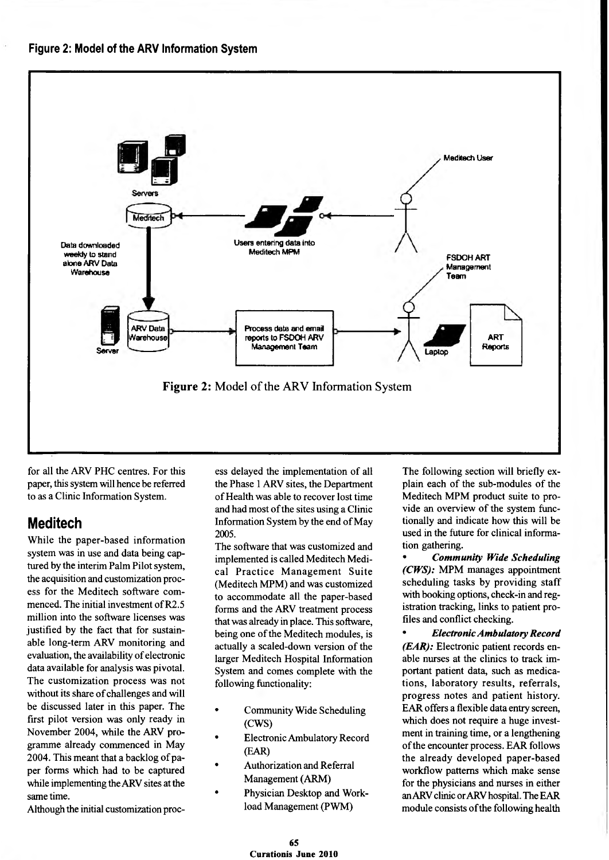

for all the ARV PHC centres. For this paper, this system will hence be referred to as a Clinic Information System.

### **Meditech**

While the paper-based information system was in use and data being captured by the interim Palm Pilot system, the acquisition and customization process for the Meditech software commenced. The initial investment of R2.5 million into the software licenses was justified by the fact that for sustainable long-term ARV monitoring and evaluation, the availability of electronic data available for analysis was pivotal. The customization process was not without its share of challenges and will be discussed later in this paper. The first pilot version was only ready in November 2004, while the ARV programme already commenced in May 2004. This meant that a backlog of paper forms which had to be captured while implementing the ARV sites at the same time.

Although the initial customization proc-

ess delayed the implementation of all the Phase 1 ARV sites, the Department of Health was able to recover lost time and had most of the sites using a Clinic Information System by the end of May 2005.

The software that was customized and implemented is called Meditech Medical Practice Management Suite (Meditech MPM) and was customized to accommodate all the paper-based forms and the ARV treatment process that was already in place. This software, being one of the Meditech modules, is actually a scaled-down version of the larger Meditech Hospital Information System and comes complete with the following functionality:

- Community Wide Scheduling (CWS)
- Electronic Ambulatory Record (EAR)
- Authorization and Referral Management (ARM)
- Physician Desktop and Workload Management (PWM)

The following section will briefly explain each of the sub-modules of the Meditech MPM product suite to provide an overview of the system functionally and indicate how this will be used in the future for clinical information gathering.

• *Community Wide Scheduling (CWS):* MPM manages appointment scheduling tasks by providing staff with booking options, check-in and registration tracking, links to patient profiles and conflict checking.

• *Electronic Ambulatory Record (EAR):* Electronic patient records enable nurses at the clinics to track important patient data, such as medications, laboratory results, referrals, progress notes and patient history. EAR offers a flexible data entry screen, which does not require a huge investment in training time, or a lengthening of the encounter process. EAR follows the already developed paper-based workflow patterns which make sense for the physicians and nurses in either an ARV clinic or ARV hospital. The EAR module consists of the following health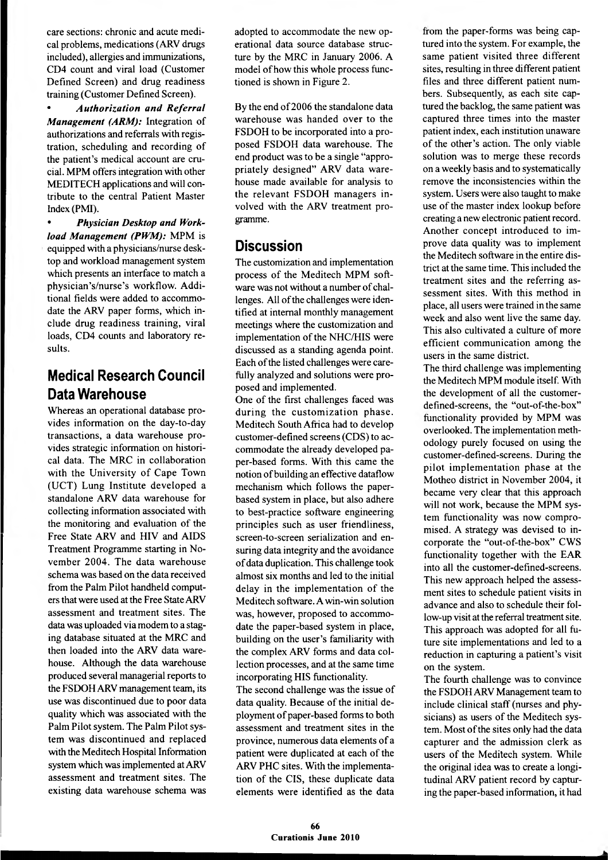care sections: chronic and acute medical problems, medications (ARV drugs included), allergies and immunizations, CD4 count and viral load (Customer Defined Screen) and drug readiness training (Customer Defined Screen).

• *Authorization and Referral Management (ARM):* Integration of authorizations and referrals with registration, scheduling and recording of the patient's medical account are crucial. MPM offers integration with other MEDITECH applications and will contribute to the central Patient Master Index (PMI).

• *Physician Desktop and Workload Management (PWM):* MPM is equipped with a physicians/nurse desktop and workload management system which presents an interface to match a physician's/nurse's workflow. Additional fields were added to accommodate the ARV paper forms, which include drug readiness training, viral loads, CD4 counts and laboratory results.

## **Medical Research Council Data Warehouse**

Whereas an operational database provides information on the day-to-day transactions, a data warehouse provides strategic information on historical data. The MRC in collaboration with the University of Cape Town (UCT) Lung Institute developed a standalone ARV data warehouse for collecting information associated with the monitoring and evaluation of the Free State ARV and HIV and AIDS Treatment Programme starting in November 2004. The data warehouse schema was based on the data received from the Palm Pilot handheld computers that were used at the Free State ARV assessment and treatment sites. The data was uploaded via modem to a staging database situated at the MRC and then loaded into the ARV data warehouse. Although the data warehouse produced several managerial reports to the FSDOH ARV management team, its use was discontinued due to poor data quality which was associated with the Palm Pilot system. The Palm Pilot system was discontinued and replaced with the Meditech Hospital Information system which was implemented at ARV assessment and treatment sites. The existing data warehouse schema was

adopted to accommodate the new operational data source database structure by the MRC in January 2006. A model of how this whole process functioned is shown in Figure 2.

By the end of 2006 the standalone data warehouse was handed over to the FSDOH to be incorporated into a proposed FSDOH data warehouse. The end product was to be a single "appropriately designed" ARV data warehouse made available for analysis to the relevant FSDOH managers involved with the ARV treatment programme.

### **Discussion**

The customization and implementation process of the Meditech MPM software was not without a number of challenges. All of the challenges were identified at internal monthly management meetings where the customization and implementation of the NHC/HIS were discussed as a standing agenda point. Each of the listed challenges were carefully analyzed and solutions were proposed and implemented.

One of the first challenges faced was during the customization phase. Meditech South Africa had to develop customer-defined screens (CDS) to accommodate the already developed paper-based forms. With this came the notion of building an effective dataflow mechanism which follows the paperbased system in place, but also adhere to best-practice software engineering principles such as user friendliness, screen-to-screen serialization and ensuring data integrity and the avoidance of data duplication. This challenge took almost six months and led to the initial delay in the implementation of the Meditech software. A win-win solution was, however, proposed to accommodate the paper-based system in place, building on the user's familiarity with the complex ARV forms and data collection processes, and at the same time incorporating HIS functionality.

The second challenge was the issue of data quality. Because of the initial deployment of paper-based forms to both assessment and treatment sites in the province, numerous data elements of a patient were duplicated at each of the ARV PHC sites. With the implementation of the CIS, these duplicate data elements were identified as the data

from the paper-forms was being captured into the system. For example, the same patient visited three different sites, resulting in three different patient files and three different patient numbers. Subsequently, as each site captured the backlog, the same patient was captured three times into the master patient index, each institution unaware of the other's action. The only viable solution was to merge these records on a weekly basis and to systematically remove the inconsistencies within the system. Users were also taught to make use of the master index lookup before creating a new electronic patient record. Another concept introduced to improve data quality was to implement the Meditech software in the entire district at the same time. This included the treatment sites and the referring assessment sites. With this method in place, all users were trained in the same week and also went live the same day. This also cultivated a culture of more efficient communication among the users in the same district.

The third challenge was implementing the Meditech MPM module itself. With the development of all the customerdefined-screens, the "out-of-the-box" functionality provided by MPM was overlooked. The implementation methodology purely focused on using the customer-defined-screens. During the pilot implementation phase at the Motheo district in November 2004, it became very clear that this approach will not work, because the MPM system functionality was now compromised. A strategy was devised to incorporate the "out-of-the-box" CWS functionality together with the EAR into all the customer-defined-screens. This new approach helped the assessment sites to schedule patient visits in advance and also to schedule their follow-up visit at the referral treatment site. This approach was adopted for all future site implementations and led to a reduction in capturing a patient's visit on the system.

The fourth challenge was to convince the FSDOH ARV Management team to include clinical staff (nurses and physicians) as users of the Meditech system. Most of the sites only had the data capturer and the admission clerk as users of the Meditech system. While the original idea was to create a longitudinal ARV patient record by capturing the paper-based information, it had

------------------------------------------------------------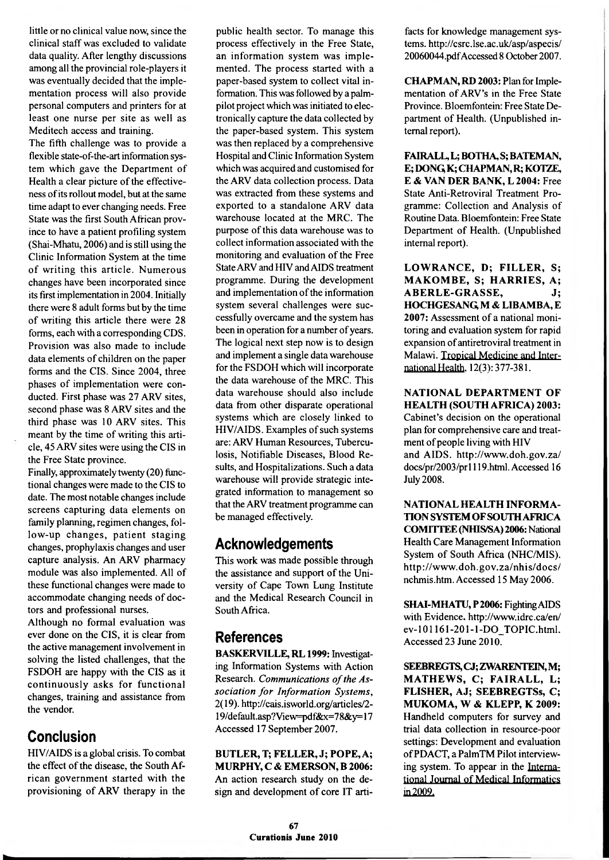little or no clinical value now, since the clinical staff was excluded to validate data quality. After lengthy discussions among all the provincial role-players it was eventually decided that the implementation process will also provide personal computers and printers for at least one nurse per site as well as Meditech access and training.

The fifth challenge was to provide a flexible state-of-the-art information system which gave the Department of Health a clear picture of the effectiveness of its rollout model, but at the same time adapt to ever changing needs. Free State was the first South African province to have a patient profiling system (Shai-Mhatu, 2006) and is still using the Clinic Information System at the time of writing this article. Numerous changes have been incorporated since its first implementation in 2004. Initially there were 8 adult forms but by the time of writing this article there were 28 forms, each with a corresponding CDS. Provision was also made to include data elements of children on the paper forms and the CIS. Since 2004, three phases of implementation were conducted. First phase was 27 ARV sites, second phase was 8 ARV sites and the third phase was 10 ARV sites. This meant by the time of writing this article, 45 ARV sites were using the CIS in the Free State province.

Finally, approximately twenty (20) functional changes were made to the CIS to date. The most notable changes include screens capturing data elements on family planning, regimen changes, follow-up changes, patient staging changes, prophylaxis changes and user capture analysis. An ARV pharmacy module was also implemented. All of these functional changes were made to accommodate changing needs of doctors and professional nurses.

Although no formal evaluation was ever done on the CIS, it is clear from the active management involvement in solving the listed challenges, that the FSDOH are happy with the CIS as it continuously asks for functional changes, training and assistance from the vendor.

### **Conclusion**

HIV/AIDS is a global crisis. To combat the effect of the disease, the South African government started with the provisioning of ARV therapy in the

public health sector. To manage this process effectively in the Free State, an information system was implemented. The process started with a paper-based system to collect vital information. This was followed by a palmpilot project which was initiated to electronically capture the data collected by the paper-based system. This system was then replaced by a comprehensive Hospital and Clinic Information System which was acquired and customised for the ARV data collection process. Data was extracted from these systems and exported to a standalone ARV data warehouse located at the MRC. The purpose of this data warehouse was to collect information associated with the monitoring and evaluation of the Free State ARV and HIV and AIDS treatment programme. During the development and implementation of the information system several challenges were successfully overcame and the system has been in operation for a number of years. The logical next step now is to design and implement a single data warehouse for the FSDOH which will incorporate the data warehouse of the MRC. This data warehouse should also include data from other disparate operational systems which are closely linked to HIV/AIDS. Examples of such systems are: ARV Human Resources, Tuberculosis, Notifiable Diseases, Blood Results, and Hospitalizations. Such a data warehouse will provide strategic integrated information to management so that the ARV treatment programme can be managed effectively.

### **Acknowledgements**

This work was made possible through the assistance and support of the University of Cape Town Lung Institute and the Medical Research Council in South Africa.

## **References**

BASKERVILLE, RL 1999: Investigating Information Systems with Action Research. *Communications of the As*sociation for Information Systems, 2(19). <http://cais.isworld.org/articles/2-> 19/default.asp?View=pdf&x=78&y= 17 Accessed 17 September 2007.

BUTLER, T; FELLER, J; POPE, A; MURPHY, C & EMERSON, B 2006: An action research study on the design and development of core IT artifacts for knowledge management systems.<http://csrc.lse.ac.uk/asp/aspecis/> 20060044.pdfAccessed 8 October 2007.

CHAPMAN, RD 2003: Plan for Implementation of ARV's in the Free State Province. Bloemfontein: Free State Department of Health. (Unpublished internal report).

FAIRALL, L; BOTHA, S; BATEMAN, E; DONQ K; CHAPMAN, R; KOTZE, E & VAN DER BANK, L 2004: Free State Anti-Retroviral Treatment Programme: Collection and Analysis of Routine Data. Bloemfontein: Free State Department of Health. (Unpublished internal report).

LOWRANCE, D; FILLER, S; MAKOMBE, S; HARRIES, A; A BERLE-GRASSE. J: HOCHGESANQ M *&* LIBAMBA, E 2007: Assessment of a national monitoring and evaluation system for rapid expansion of antiretroviral treatment in Malawi. Tropical Medicine and International Health. 12(3): 377-381.

NATIONAL DEPARTMENT OF HEALTH (SOUTH AFRICA) 2003: Cabinet's decision on the operational plan for comprehensive care and treatment of people living with HIV and AIDS, <http://www.doh.gov.za/> docs/pr/2003/prl 119.html. Accessed 16 July 2008.

NATIONAL HEALTH INFORMA-TION SYSTEM OFSOUTH AFRICA COMITTEE (NHIS/SA) 2006: National Health Care Management Information System of South Africa (NHC/MIS). http://www.doh.gov.za/nhis/docs/ nchmis.htm. Accessed 15 May 2006.

SHAI-MHATU, P 2006: Fighting AIDS with Evidence, <http://www.idrc.ca/en/> ev-101161-201-l-DO\_TOPIC.html. Accessed 23 June 2010.

SEEBREGTS, CJ; ZWARENTEIN, M; MATHEWS, C; FAIRALL, L; FLISHER, AJ; SEEBREGTSs, C; MUKOMA, W & KLEPP, K 2009: Handheld computers for survey and trial data collection in resource-poor settings: Development and evaluation of PDACT, a PalmTM Pilot interviewing system. To appear in the International Journal of Medical Informatics in 2009.